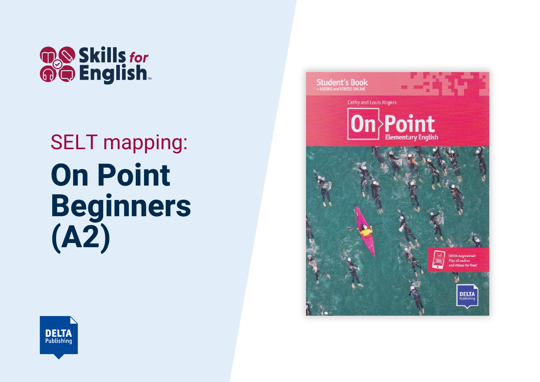

## SELT mapping: **On Point Beginners (A2)**



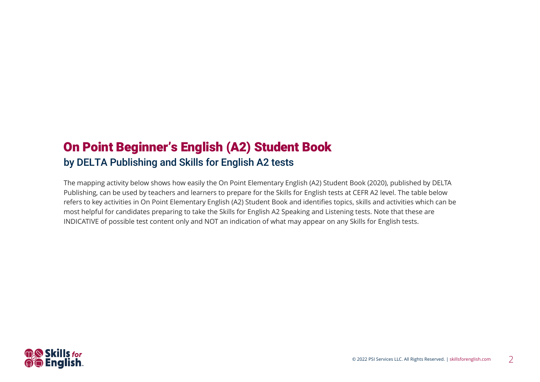## On Point Beginner's English (A2) Student Book by DELTA Publishing and Skills for English A2 tests

The mapping activity below shows how easily the On Point Elementary English (A2) Student Book (2020), published by DELTA Publishing, can be used by teachers and learners to prepare for the Skills for English tests at CEFR A2 level. The table below refers to key activities in On Point Elementary English (A2) Student Book and identifies topics, skills and activities which can be most helpful for candidates preparing to take the Skills for English A2 Speaking and Listening tests. Note that these are INDICATIVE of possible test content only and NOT an indication of what may appear on any Skills for English tests.

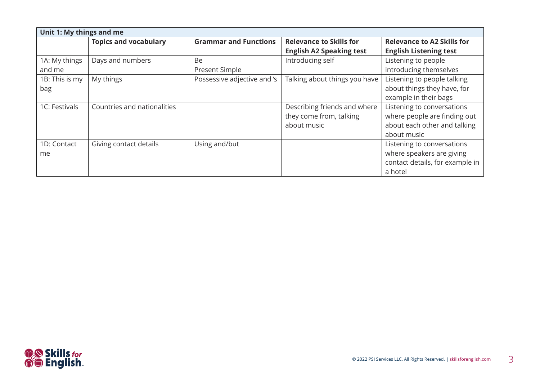| Unit 1: My things and me |                              |                              |                                 |                                   |
|--------------------------|------------------------------|------------------------------|---------------------------------|-----------------------------------|
|                          | <b>Topics and vocabulary</b> | <b>Grammar and Functions</b> | <b>Relevance to Skills for</b>  | <b>Relevance to A2 Skills for</b> |
|                          |                              |                              | <b>English A2 Speaking test</b> | <b>English Listening test</b>     |
| 1A: My things            | Days and numbers             | <b>Be</b>                    | Introducing self                | Listening to people               |
| and me                   |                              | Present Simple               |                                 | introducing themselves            |
| 1B: This is my           | My things                    | Possessive adjective and 's  | Talking about things you have   | Listening to people talking       |
| bag                      |                              |                              |                                 | about things they have, for       |
|                          |                              |                              |                                 | example in their bags             |
| 1C: Festivals            | Countries and nationalities  |                              | Describing friends and where    | Listening to conversations        |
|                          |                              |                              | they come from, talking         | where people are finding out      |
|                          |                              |                              | about music                     | about each other and talking      |
|                          |                              |                              |                                 | about music                       |
| 1D: Contact              | Giving contact details       | Using and/but                |                                 | Listening to conversations        |
| me                       |                              |                              |                                 | where speakers are giving         |
|                          |                              |                              |                                 | contact details, for example in   |
|                          |                              |                              |                                 | a hotel                           |

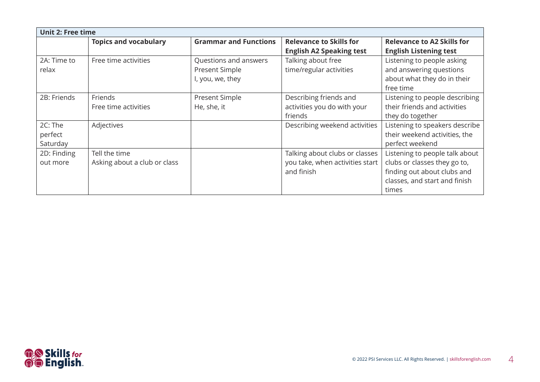| <b>Unit 2: Free time</b> |                              |                              |                                 |                                   |
|--------------------------|------------------------------|------------------------------|---------------------------------|-----------------------------------|
|                          | <b>Topics and vocabulary</b> | <b>Grammar and Functions</b> | <b>Relevance to Skills for</b>  | <b>Relevance to A2 Skills for</b> |
|                          |                              |                              | <b>English A2 Speaking test</b> | <b>English Listening test</b>     |
| 2A: Time to              | Free time activities         | Questions and answers        | Talking about free              | Listening to people asking        |
| relax                    |                              | Present Simple               | time/regular activities         | and answering questions           |
|                          |                              | I, you, we, they             |                                 | about what they do in their       |
|                          |                              |                              |                                 | free time                         |
| 2B: Friends              | Friends                      | Present Simple               | Describing friends and          | Listening to people describing    |
|                          | Free time activities         | He, she, it                  | activities you do with your     | their friends and activities      |
|                          |                              |                              | friends                         | they do together                  |
| 2C: The                  | Adjectives                   |                              | Describing weekend activities   | Listening to speakers describe    |
| perfect                  |                              |                              |                                 | their weekend activities, the     |
| Saturday                 |                              |                              |                                 | perfect weekend                   |
| 2D: Finding              | Tell the time                |                              | Talking about clubs or classes  | Listening to people talk about    |
| out more                 | Asking about a club or class |                              | you take, when activities start | clubs or classes they go to,      |
|                          |                              |                              | and finish                      | finding out about clubs and       |
|                          |                              |                              |                                 | classes, and start and finish     |
|                          |                              |                              |                                 | times                             |

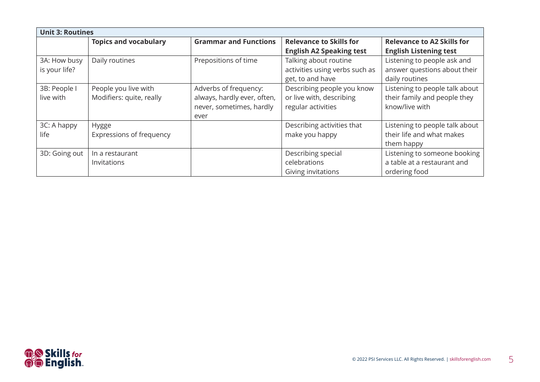| <b>Unit 3: Routines</b> |                              |                              |                                 |                                   |
|-------------------------|------------------------------|------------------------------|---------------------------------|-----------------------------------|
|                         | <b>Topics and vocabulary</b> | <b>Grammar and Functions</b> | <b>Relevance to Skills for</b>  | <b>Relevance to A2 Skills for</b> |
|                         |                              |                              | <b>English A2 Speaking test</b> | <b>English Listening test</b>     |
| 3A: How busy            | Daily routines               | Prepositions of time         | Talking about routine           | Listening to people ask and       |
| is your life?           |                              |                              | activities using verbs such as  | answer questions about their      |
|                         |                              |                              | get, to and have                | daily routines                    |
| 3B: People I            | People you live with         | Adverbs of frequency:        | Describing people you know      | Listening to people talk about    |
| live with               | Modifiers: quite, really     | always, hardly ever, often,  | or live with, describing        | their family and people they      |
|                         |                              | never, sometimes, hardly     | regular activities              | know/live with                    |
|                         |                              | ever                         |                                 |                                   |
| 3C: A happy             | <b>Hygge</b>                 |                              | Describing activities that      | Listening to people talk about    |
| life                    | Expressions of frequency     |                              | make you happy                  | their life and what makes         |
|                         |                              |                              |                                 | them happy                        |
| 3D: Going out           | In a restaurant              |                              | Describing special              | Listening to someone booking      |
|                         | Invitations                  |                              | celebrations                    | a table at a restaurant and       |
|                         |                              |                              | <b>Giving invitations</b>       | ordering food                     |

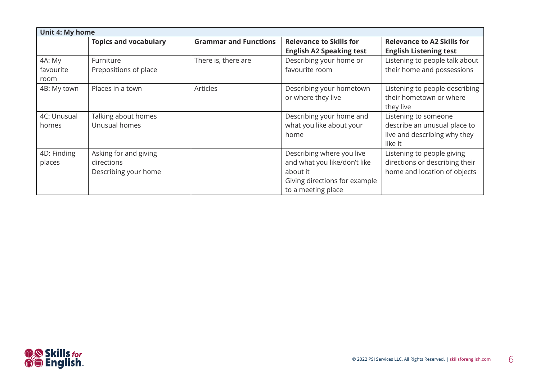| <b>Unit 4: My home</b>      |                                                             |                              |                                                                                                                              |                                                                                                 |
|-----------------------------|-------------------------------------------------------------|------------------------------|------------------------------------------------------------------------------------------------------------------------------|-------------------------------------------------------------------------------------------------|
|                             | <b>Topics and vocabulary</b>                                | <b>Grammar and Functions</b> | <b>Relevance to Skills for</b><br><b>English A2 Speaking test</b>                                                            | <b>Relevance to A2 Skills for</b><br><b>English Listening test</b>                              |
| 4A: My<br>favourite<br>room | Furniture<br>Prepositions of place                          | There is, there are          | Describing your home or<br>favourite room                                                                                    | Listening to people talk about<br>their home and possessions                                    |
| 4B: My town                 | Places in a town                                            | <b>Articles</b>              | Describing your hometown<br>or where they live                                                                               | Listening to people describing<br>their hometown or where<br>they live                          |
| 4C: Unusual<br>homes        | Talking about homes<br>Unusual homes                        |                              | Describing your home and<br>what you like about your<br>home                                                                 | Listening to someone<br>describe an unusual place to<br>live and describing why they<br>like it |
| 4D: Finding<br>places       | Asking for and giving<br>directions<br>Describing your home |                              | Describing where you live<br>and what you like/don't like<br>about it<br>Giving directions for example<br>to a meeting place | Listening to people giving<br>directions or describing their<br>home and location of objects    |

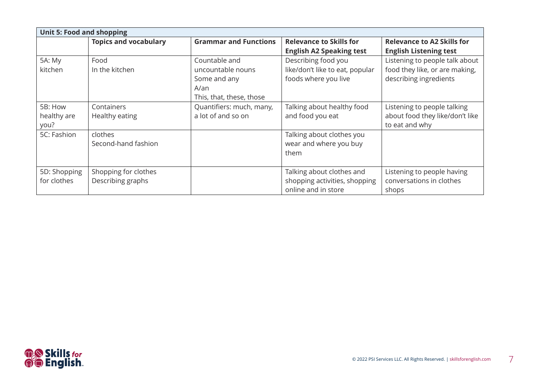| <b>Unit 5: Food and shopping</b> |                                           |                                                                                                 |                                                                                   |                                                                                            |
|----------------------------------|-------------------------------------------|-------------------------------------------------------------------------------------------------|-----------------------------------------------------------------------------------|--------------------------------------------------------------------------------------------|
|                                  | <b>Topics and vocabulary</b>              | <b>Grammar and Functions</b>                                                                    | <b>Relevance to Skills for</b><br><b>English A2 Speaking test</b>                 | <b>Relevance to A2 Skills for</b><br><b>English Listening test</b>                         |
| 5A: My<br>kitchen                | Food<br>In the kitchen                    | Countable and<br>uncountable nouns<br>Some and any<br>$A/\text{an}$<br>This, that, these, those | Describing food you<br>like/don't like to eat, popular<br>foods where you live    | Listening to people talk about<br>food they like, or are making,<br>describing ingredients |
| 5B: How<br>healthy are<br>you?   | Containers<br>Healthy eating              | Quantifiers: much, many,<br>a lot of and so on                                                  | Talking about healthy food<br>and food you eat                                    | Listening to people talking<br>about food they like/don't like<br>to eat and why           |
| 5C: Fashion                      | clothes<br>Second-hand fashion            |                                                                                                 | Talking about clothes you<br>wear and where you buy<br>them                       |                                                                                            |
| 5D: Shopping<br>for clothes      | Shopping for clothes<br>Describing graphs |                                                                                                 | Talking about clothes and<br>shopping activities, shopping<br>online and in store | Listening to people having<br>conversations in clothes<br>shops                            |

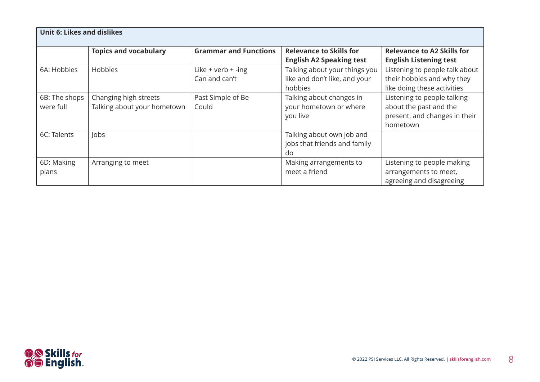| <b>Unit 6: Likes and dislikes</b> |                                                      |                                         |                                                                           |                                                                                                    |
|-----------------------------------|------------------------------------------------------|-----------------------------------------|---------------------------------------------------------------------------|----------------------------------------------------------------------------------------------------|
|                                   | <b>Topics and vocabulary</b>                         | <b>Grammar and Functions</b>            | <b>Relevance to Skills for</b><br><b>English A2 Speaking test</b>         | <b>Relevance to A2 Skills for</b><br><b>English Listening test</b>                                 |
| 6A: Hobbies                       | <b>Hobbies</b>                                       | Like $+$ verb $+$ -ing<br>Can and can't | Talking about your things you<br>like and don't like, and your<br>hobbies | Listening to people talk about<br>their hobbies and why they<br>like doing these activities        |
| 6B: The shops<br>were full        | Changing high streets<br>Talking about your hometown | Past Simple of Be<br>Could              | Talking about changes in<br>your hometown or where<br>you live            | Listening to people talking<br>about the past and the<br>present, and changes in their<br>hometown |
| 6C: Talents                       | Jobs                                                 |                                         | Talking about own job and<br>jobs that friends and family<br>do           |                                                                                                    |
| 6D: Making<br>plans               | Arranging to meet                                    |                                         | Making arrangements to<br>meet a friend                                   | Listening to people making<br>arrangements to meet,<br>agreeing and disagreeing                    |

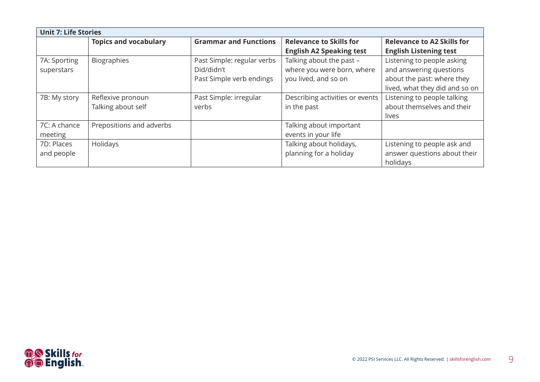| <b>Unit 7: Life Stories</b> |                              |                              |                                 |                                   |
|-----------------------------|------------------------------|------------------------------|---------------------------------|-----------------------------------|
|                             | <b>Topics and vocabulary</b> | <b>Grammar and Functions</b> | <b>Relevance to Skills for</b>  | <b>Relevance to A2 Skills for</b> |
|                             |                              |                              | <b>English A2 Speaking test</b> | <b>English Listening test</b>     |
| 7A: Sporting                | <b>Biographies</b>           | Past Simple: regular verbs   | Talking about the past -        | Listening to people asking        |
| superstars                  |                              | Did/didn't                   | where you were born, where      | and answering questions           |
|                             |                              | Past Simple verb endings     | you lived, and so on            | about the past: where they        |
|                             |                              |                              |                                 | lived, what they did and so on    |
| 7B: My story                | Reflexive pronoun            | Past Simple: irregular       | Describing activities or events | Listening to people talking       |
|                             | Talking about self           | verbs                        | in the past                     | about themselves and their        |
|                             |                              |                              |                                 | lives                             |
| 7C: A chance                | Prepositions and adverbs     |                              | Talking about important         |                                   |
| meeting                     |                              |                              | events in your life             |                                   |
| 7D: Places                  | Holidays                     |                              | Talking about holidays,         | Listening to people ask and       |
| and people                  |                              |                              | planning for a holiday          | answer questions about their      |
|                             |                              |                              |                                 | holidays                          |

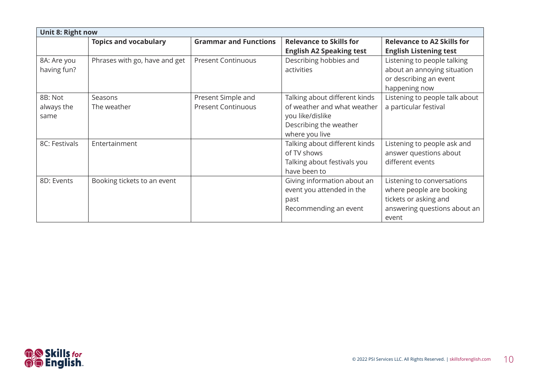| Unit 8: Right now             |                               |                                                 |                                                                                                                              |                                                                                                                          |
|-------------------------------|-------------------------------|-------------------------------------------------|------------------------------------------------------------------------------------------------------------------------------|--------------------------------------------------------------------------------------------------------------------------|
|                               | <b>Topics and vocabulary</b>  | <b>Grammar and Functions</b>                    | <b>Relevance to Skills for</b><br><b>English A2 Speaking test</b>                                                            | <b>Relevance to A2 Skills for</b><br><b>English Listening test</b>                                                       |
| 8A: Are you<br>having fun?    | Phrases with go, have and get | <b>Present Continuous</b>                       | Describing hobbies and<br>activities                                                                                         | Listening to people talking<br>about an annoying situation<br>or describing an event<br>happening now                    |
| 8B: Not<br>always the<br>same | Seasons<br>The weather        | Present Simple and<br><b>Present Continuous</b> | Talking about different kinds<br>of weather and what weather<br>you like/dislike<br>Describing the weather<br>where you live | Listening to people talk about<br>a particular festival                                                                  |
| 8C: Festivals                 | Entertainment                 |                                                 | Talking about different kinds<br>of TV shows<br>Talking about festivals you<br>have been to                                  | Listening to people ask and<br>answer questions about<br>different events                                                |
| 8D: Events                    | Booking tickets to an event   |                                                 | Giving information about an<br>event you attended in the<br>past<br>Recommending an event                                    | Listening to conversations<br>where people are booking<br>tickets or asking and<br>answering questions about an<br>event |

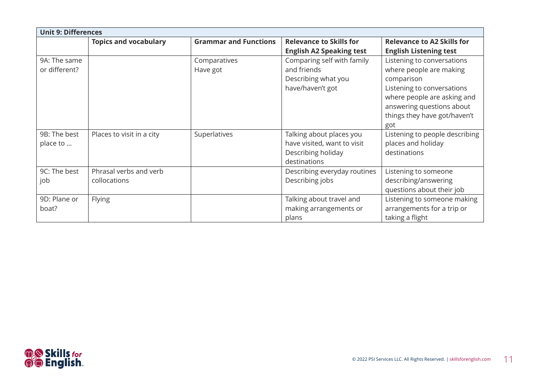| <b>Unit 9: Differences</b>    |                                        |                              |                                                                                               |                                                                                                                                                                                                      |
|-------------------------------|----------------------------------------|------------------------------|-----------------------------------------------------------------------------------------------|------------------------------------------------------------------------------------------------------------------------------------------------------------------------------------------------------|
|                               | <b>Topics and vocabulary</b>           | <b>Grammar and Functions</b> | <b>Relevance to Skills for</b><br><b>English A2 Speaking test</b>                             | <b>Relevance to A2 Skills for</b><br><b>English Listening test</b>                                                                                                                                   |
| 9A: The same<br>or different? |                                        | Comparatives<br>Have got     | Comparing self with family<br>and friends<br>Describing what you<br>have/haven't got          | Listening to conversations<br>where people are making<br>comparison<br>Listening to conversations<br>where people are asking and<br>answering questions about<br>things they have got/haven't<br>got |
| 9B: The best<br>place to      | Places to visit in a city              | Superlatives                 | Talking about places you<br>have visited, want to visit<br>Describing holiday<br>destinations | Listening to people describing<br>places and holiday<br>destinations                                                                                                                                 |
| 9C: The best<br>job           | Phrasal verbs and verb<br>collocations |                              | Describing everyday routines<br>Describing jobs                                               | Listening to someone<br>describing/answering<br>questions about their job                                                                                                                            |
| 9D: Plane or<br>boat?         | Flying                                 |                              | Talking about travel and<br>making arrangements or<br>plans                                   | Listening to someone making<br>arrangements for a trip or<br>taking a flight                                                                                                                         |

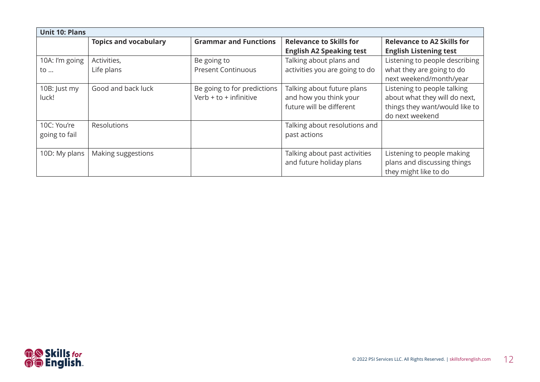| <b>Unit 10: Plans</b> |                              |                              |                                 |                                   |
|-----------------------|------------------------------|------------------------------|---------------------------------|-----------------------------------|
|                       | <b>Topics and vocabulary</b> | <b>Grammar and Functions</b> | <b>Relevance to Skills for</b>  | <b>Relevance to A2 Skills for</b> |
|                       |                              |                              | <b>English A2 Speaking test</b> | <b>English Listening test</b>     |
| 10A: I'm going        | Activities,                  | Be going to                  | Talking about plans and         | Listening to people describing    |
| to                    | Life plans                   | <b>Present Continuous</b>    | activities you are going to do  | what they are going to do         |
|                       |                              |                              |                                 | next weekend/month/year           |
| 10B: Just my          | Good and back luck           | Be going to for predictions  | Talking about future plans      | Listening to people talking       |
| luck!                 |                              | Verb $+$ to $+$ infinitive   | and how you think your          | about what they will do next,     |
|                       |                              |                              | future will be different        | things they want/would like to    |
|                       |                              |                              |                                 | do next weekend                   |
| 10C: You're           | Resolutions                  |                              | Talking about resolutions and   |                                   |
| going to fail         |                              |                              | past actions                    |                                   |
|                       |                              |                              |                                 |                                   |
| 10D: My plans         | Making suggestions           |                              | Talking about past activities   | Listening to people making        |
|                       |                              |                              | and future holiday plans        | plans and discussing things       |
|                       |                              |                              |                                 | they might like to do             |

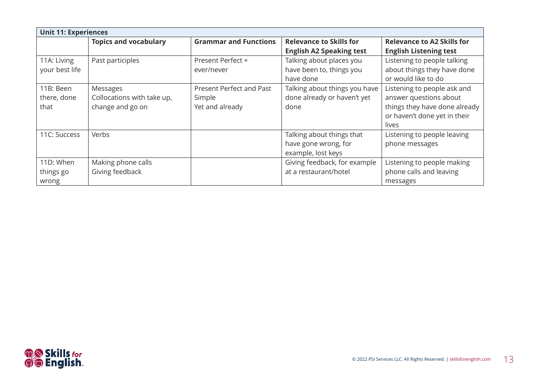| <b>Unit 11: Experiences</b> |                              |                                 |                                 |                                   |
|-----------------------------|------------------------------|---------------------------------|---------------------------------|-----------------------------------|
|                             | <b>Topics and vocabulary</b> | <b>Grammar and Functions</b>    | <b>Relevance to Skills for</b>  | <b>Relevance to A2 Skills for</b> |
|                             |                              |                                 | <b>English A2 Speaking test</b> | <b>English Listening test</b>     |
| 11A: Living                 | Past participles             | Present Perfect +               | Talking about places you        | Listening to people talking       |
| your best life              |                              | ever/never                      | have been to, things you        | about things they have done       |
|                             |                              |                                 | have done                       | or would like to do               |
| 11B: Been                   | Messages                     | <b>Present Perfect and Past</b> | Talking about things you have   | Listening to people ask and       |
| there, done                 | Collocations with take up,   | Simple                          | done already or haven't yet     | answer questions about            |
| that                        | change and go on             | Yet and already                 | done                            | things they have done already     |
|                             |                              |                                 |                                 | or haven't done yet in their      |
|                             |                              |                                 |                                 | lives                             |
| 11C: Success                | Verbs                        |                                 | Talking about things that       | Listening to people leaving       |
|                             |                              |                                 | have gone wrong, for            | phone messages                    |
|                             |                              |                                 | example, lost keys              |                                   |
| 11D: When                   | Making phone calls           |                                 | Giving feedback, for example    | Listening to people making        |
| things go                   | Giving feedback              |                                 | at a restaurant/hotel           | phone calls and leaving           |
| wrong                       |                              |                                 |                                 | messages                          |